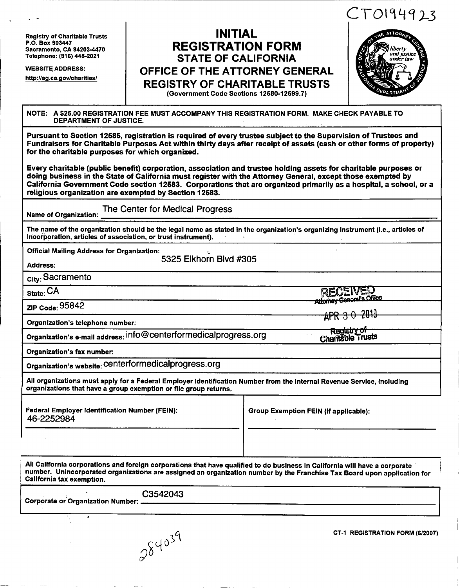**Registry of Charitable Trusts P.O. Box 903447 Sacramento, CA 94203-4470 Telephone: (916) 446-2021** 

**WEBSITE ADDRESS:** 

**<http://aq.ca.qov/charlties/>**

# **INITIAL REGISTRATION FORM STATE OF CALIFORNIA OFFICE OF THE ATTORNEY GENERAL REGISTRY OF CHARITABLE TRUSTS (Government Code Sections 12580-12599.7)**



#### **NOTE: A \$25.00 REGISTRATION FEE MUST ACCOMPANY THIS REGISTRATION FORM. MAKE CHECK PAYABLE TO DEPARTMENT OF JUSTICE.**

**Pursuant to Section 12686, registration is required of every trustee subject to the Supervision of Trustees and Fundraisers for Charitable Purposes Act within thirty days after receipt of assets (cash or other forms of property) for the charitable purposes for which organized.** 

**Every charitable (public benefit) corporation, association and trustee holding assets for charitable purposes or doing business in the State of California must register with the Attorney General, except those exempted by California Government Code section 12683. Corporations that are organized primarily as a hospital, a school, or a religious organization are exempted by Section 12683.** 

**Name of Organization: The Center for Medical Progress** 

**The name of the organization should be the legal name as stated in the organization's organizing Instrument (i.e., articles of Incorporation, articles of association, or trust instrument).** 

**Official Mailing Address for Organization:** 

**532 5 Elkhorn Blvd #30 5** 

**Address:** 

**city: Sacramento** 

**state: CA** 

**ZIP Code: 9584 2** 

**Organization's telephone number:** 

**Organization's e-mail address: [info@centerformedicalprogress.org](mailto:info@centerformedicalprogress.org)** 

**Organization's fax number:** 

**Organization's website: centerformedicalprogress.org** 

**All organizations must apply for a Federal Employer Identification Number from the Internal Revenue Service, including organizations that have a group exemption or file group returns.** 

**Federal Employer Identification Number (FEIN): 46-225298 4** 

**Group Exemption FEIN (if applicable):** 

**Athenov** 

Registry of Charitable Trusts

**All California corporations and foreign corporations that have qualified to do business In California will have a corporate number. Unincorporated organizations are assigned an organization number by the Franchise Tax Board upon application for California tax exemption.** 

C3542043 Corporate or Organization Number: .

 $\omega$ **0** 

**CT-1 REGISTRATION FORM (6/2007)**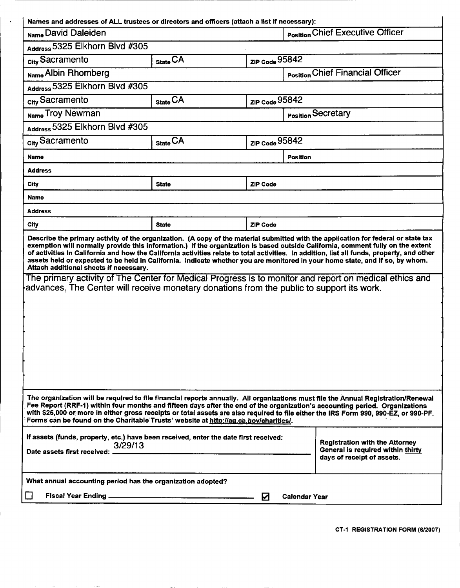| Names and addresses of ALL trustees or directors and officers (attach a list If necessary):                                                                                                                                                                                                                                                                                                                                                                                                                                                                                                                                                                                                                                                      |              |                    |                                         |  |  |
|--------------------------------------------------------------------------------------------------------------------------------------------------------------------------------------------------------------------------------------------------------------------------------------------------------------------------------------------------------------------------------------------------------------------------------------------------------------------------------------------------------------------------------------------------------------------------------------------------------------------------------------------------------------------------------------------------------------------------------------------------|--------------|--------------------|-----------------------------------------|--|--|
| Name David Daleiden                                                                                                                                                                                                                                                                                                                                                                                                                                                                                                                                                                                                                                                                                                                              |              |                    | <b>Position Chief Executive Officer</b> |  |  |
| Address 5325 Elkhorn Blvd #305                                                                                                                                                                                                                                                                                                                                                                                                                                                                                                                                                                                                                                                                                                                   |              |                    |                                         |  |  |
| <sub>city</sub> Sacramento                                                                                                                                                                                                                                                                                                                                                                                                                                                                                                                                                                                                                                                                                                                       | State CA     | ZIP Code 95842     |                                         |  |  |
| Name Albin Rhomberg                                                                                                                                                                                                                                                                                                                                                                                                                                                                                                                                                                                                                                                                                                                              |              |                    | <b>Position Chief Financial Officer</b> |  |  |
| Address 5325 Elkhorn Blvd #305                                                                                                                                                                                                                                                                                                                                                                                                                                                                                                                                                                                                                                                                                                                   |              |                    |                                         |  |  |
| city Sacramento                                                                                                                                                                                                                                                                                                                                                                                                                                                                                                                                                                                                                                                                                                                                  | State CA     | ZIP Code 95842     |                                         |  |  |
| Name Troy Newman                                                                                                                                                                                                                                                                                                                                                                                                                                                                                                                                                                                                                                                                                                                                 |              |                    | Position Secretary                      |  |  |
| Address 5325 Elkhorn Blvd #305                                                                                                                                                                                                                                                                                                                                                                                                                                                                                                                                                                                                                                                                                                                   |              |                    |                                         |  |  |
| <sub>City</sub> Sacramento                                                                                                                                                                                                                                                                                                                                                                                                                                                                                                                                                                                                                                                                                                                       | State CA     | $ZIP$ Code $95842$ |                                         |  |  |
| Name                                                                                                                                                                                                                                                                                                                                                                                                                                                                                                                                                                                                                                                                                                                                             |              | <b>Position</b>    |                                         |  |  |
| <b>Address</b>                                                                                                                                                                                                                                                                                                                                                                                                                                                                                                                                                                                                                                                                                                                                   |              |                    |                                         |  |  |
| City                                                                                                                                                                                                                                                                                                                                                                                                                                                                                                                                                                                                                                                                                                                                             | <b>State</b> | <b>ZIP Code</b>    |                                         |  |  |
| Name                                                                                                                                                                                                                                                                                                                                                                                                                                                                                                                                                                                                                                                                                                                                             |              |                    |                                         |  |  |
| <b>Address</b>                                                                                                                                                                                                                                                                                                                                                                                                                                                                                                                                                                                                                                                                                                                                   |              |                    |                                         |  |  |
| City                                                                                                                                                                                                                                                                                                                                                                                                                                                                                                                                                                                                                                                                                                                                             | <b>State</b> | <b>ZIP Code</b>    |                                         |  |  |
| exemption will normally provide this information.) If the organization is based outside California, comment fully on the extent<br>of activities in California and how the California activities relate to total activities. In addition, list all funds, property, and other<br>assets held or expected to be held in California. Indicate whether you are monitored in your home state, and if so, by whom.<br>Attach additional sheets if necessary.<br>The primary activity of The Center for Medical Progress is to monitor and report on medical ethics and<br>advances. The Center will receive monetary donations from the public to support its work.                                                                                   |              |                    |                                         |  |  |
| The organization will be required to file financial reports annually. All organizations must file the Annual Registration/Renewal<br>Fee Report (RRF-1) within four months and fifteen days after the end of the organization's accounting period. Organizations<br>with \$25,000 or more in either gross receipts or total assets are also required to file either the IRS Form 990, 990-EZ, or 990-PF.<br>Forms can be found on the Charitable Trusts' website at http://ag.ca.gov/charitles/.<br>If assets (funds, property, etc.) have been received, enter the date first received:<br><b>Registration with the Attorney</b><br>3/29/13<br>General is required within thirty<br>Date assets first received: _<br>days of receipt of assets. |              |                    |                                         |  |  |
| What annual accounting period has the organization adopted?                                                                                                                                                                                                                                                                                                                                                                                                                                                                                                                                                                                                                                                                                      |              |                    |                                         |  |  |
|                                                                                                                                                                                                                                                                                                                                                                                                                                                                                                                                                                                                                                                                                                                                                  |              | ☑<br>Calendar Year |                                         |  |  |

 $\langle \cdot \rangle$ 

**CT-1 REGISTRATION FORM (6/2007)**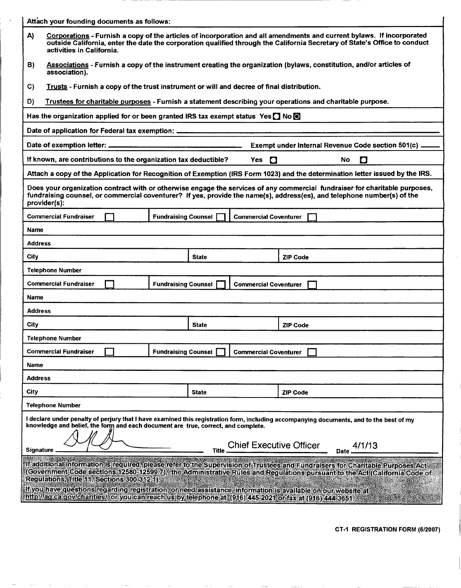|                | Attach your founding documents as follows:                                                                                                                                                                                                                             |                            |              |                                |                 |             |                                                                                                                                                                                                                                                              |
|----------------|------------------------------------------------------------------------------------------------------------------------------------------------------------------------------------------------------------------------------------------------------------------------|----------------------------|--------------|--------------------------------|-----------------|-------------|--------------------------------------------------------------------------------------------------------------------------------------------------------------------------------------------------------------------------------------------------------------|
| A)             | activities in California.                                                                                                                                                                                                                                              |                            |              |                                |                 |             | Corporations - Furnish a copy of the articles of incorporation and all amendments and current bylaws. If incorporated<br>outside California, enter the date the corporation qualified through the California Secretary of State's Office to conduct          |
| B)             | association).                                                                                                                                                                                                                                                          |                            |              |                                |                 |             | Associations - Furnish a copy of the instrument creating the organization (bylaws, constitution, and/or articles of                                                                                                                                          |
| C)             | Trusts - Furnish a copy of the trust instrument or will and decree of final distribution.                                                                                                                                                                              |                            |              |                                |                 |             |                                                                                                                                                                                                                                                              |
| D)             | Trustees for charitable purposes - Furnish a statement describing your operations and charitable purpose.                                                                                                                                                              |                            |              |                                |                 |             |                                                                                                                                                                                                                                                              |
|                | Has the organization applied for or been granted IRS tax exempt status Yes $\Box$ No $\Box$                                                                                                                                                                            |                            |              |                                |                 |             |                                                                                                                                                                                                                                                              |
|                | Date of application for Federal tax exemption: _________________________________                                                                                                                                                                                       |                            |              |                                |                 |             |                                                                                                                                                                                                                                                              |
|                |                                                                                                                                                                                                                                                                        |                            |              |                                |                 |             | Exempt under Internal Revenue Code section 501(c).                                                                                                                                                                                                           |
|                | If known, are contributions to the organization tax deductible?                                                                                                                                                                                                        |                            |              | Yes $\Box$                     |                 | No.         | $\bullet$                                                                                                                                                                                                                                                    |
|                |                                                                                                                                                                                                                                                                        |                            |              |                                |                 |             | Attach a copy of the Application for Recognition of Exemption (IRS Form 1023) and the determination letter issued by the IRS.                                                                                                                                |
|                | provider(s):                                                                                                                                                                                                                                                           |                            |              |                                |                 |             | Does your organization contract with or otherwise engage the services of any commercial fundraiser for charitable purposes,<br>fundraising counsel, or commercial coventurer? If yes, provide the name(s), address(es), and telephone number(s) of the       |
|                | Commercial Fundraiser                                                                                                                                                                                                                                                  | <b>Fundraising Counsel</b> |              | <b>Commercial Coventurer</b>   |                 |             |                                                                                                                                                                                                                                                              |
| Name           |                                                                                                                                                                                                                                                                        |                            |              |                                |                 |             |                                                                                                                                                                                                                                                              |
| Address        |                                                                                                                                                                                                                                                                        |                            |              |                                |                 |             |                                                                                                                                                                                                                                                              |
| City           |                                                                                                                                                                                                                                                                        |                            | <b>State</b> |                                | <b>ZIP Code</b> |             |                                                                                                                                                                                                                                                              |
|                | Telephone Number                                                                                                                                                                                                                                                       |                            |              |                                |                 |             |                                                                                                                                                                                                                                                              |
|                | Commercial Fundraiser                                                                                                                                                                                                                                                  | <b>Fundraising Counsel</b> |              | <b>Commercial Coventurer</b>   |                 |             |                                                                                                                                                                                                                                                              |
| Name           |                                                                                                                                                                                                                                                                        |                            |              |                                |                 |             |                                                                                                                                                                                                                                                              |
| Address        |                                                                                                                                                                                                                                                                        |                            |              |                                |                 |             |                                                                                                                                                                                                                                                              |
| City           |                                                                                                                                                                                                                                                                        |                            | <b>State</b> |                                | <b>ZIP Code</b> |             |                                                                                                                                                                                                                                                              |
|                | <b>Telephone Number</b>                                                                                                                                                                                                                                                |                            |              |                                |                 |             |                                                                                                                                                                                                                                                              |
|                | Commercial Fundraiser                                                                                                                                                                                                                                                  | <b>Fundraising Counsel</b> |              | Commercial Coventurer          |                 |             |                                                                                                                                                                                                                                                              |
| Name           |                                                                                                                                                                                                                                                                        |                            |              |                                |                 |             |                                                                                                                                                                                                                                                              |
| <b>Address</b> |                                                                                                                                                                                                                                                                        |                            |              |                                |                 |             |                                                                                                                                                                                                                                                              |
| City           |                                                                                                                                                                                                                                                                        |                            | <b>State</b> |                                | <b>ZIP Code</b> |             |                                                                                                                                                                                                                                                              |
|                | <b>Telephone Number</b>                                                                                                                                                                                                                                                |                            |              |                                |                 |             |                                                                                                                                                                                                                                                              |
|                | knowledge and belief, the form and each document are true, correct, and complete.                                                                                                                                                                                      |                            |              | <b>Chief Executive Officer</b> |                 |             | I declare under penalty of perjury that I have examined this registration form, including accompanying documents, and to the best of my<br>4/1/13                                                                                                            |
| Signature.     |                                                                                                                                                                                                                                                                        |                            | <b>Title</b> |                                |                 | <b>Date</b> |                                                                                                                                                                                                                                                              |
|                | Regulations, Title 11, Sections 300-312.1).<br>If you have questions regarding registration, or need assistance, information is available on our website at<br>http://aq.ca.qov/charities//or/you.can/reachius.by/telephone at (916) 445-2021 or fax at (916) 444-3651 |                            |              |                                |                 |             | If additional information is required, please refer to the Supervision of Trustees and Eundralsers for Charitable Purposes Act<br>(Government Code sections 12580-12599.7), the Administrative Rules and Regulations pursuant to the Act (California Code of |
|                |                                                                                                                                                                                                                                                                        |                            |              |                                |                 |             |                                                                                                                                                                                                                                                              |

 $\blacksquare$ 

**CT-1 REGISTRATION FORM (6/2007)**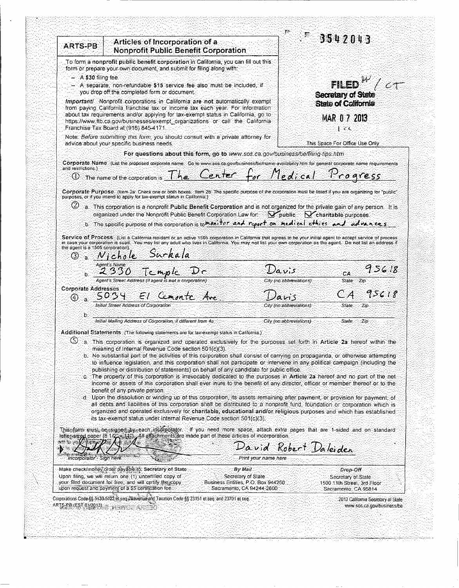| ARTS-PB                                                    | Articles of Incorporation of a<br><b>Nonprofit Public Benefit Corporation</b>                                                                                                                                                                                                                                                    |                                                                 | 3542043                                  |                                                     |
|------------------------------------------------------------|----------------------------------------------------------------------------------------------------------------------------------------------------------------------------------------------------------------------------------------------------------------------------------------------------------------------------------|-----------------------------------------------------------------|------------------------------------------|-----------------------------------------------------|
|                                                            | To form a nonprofit public benefit corporation in California, you can fill out this.                                                                                                                                                                                                                                             |                                                                 |                                          |                                                     |
| $-$ A:\$30 filing fee                                      | form or prepare your own document, and submit for filing along with:                                                                                                                                                                                                                                                             |                                                                 |                                          |                                                     |
|                                                            | - A separate, non-refundable \$15 service fee also must be included, if                                                                                                                                                                                                                                                          |                                                                 |                                          | FILED $^{\prime\prime}/\epsilon$ $\tau^-$           |
|                                                            | you drop off the completed form or document.                                                                                                                                                                                                                                                                                     | Secretary of State                                              |                                          |                                                     |
|                                                            | Important/ Nonprofit corporations in California are not automatically exempt<br>from paying California franchise tax or income tax each year. For information                                                                                                                                                                    |                                                                 | <b>State of California</b>               |                                                     |
|                                                            | about tax requirements and/or applying for tax-exempt status in California, go to                                                                                                                                                                                                                                                |                                                                 | MAR 0 7 2013                             |                                                     |
|                                                            | https://www.ftb.ca.gov/businesses/exempt_organizations or call_the_California<br>Franchise Tax Board at (916) 845-4171.                                                                                                                                                                                                          |                                                                 | ਿਟਰ                                      |                                                     |
|                                                            | Note: Before submitting this form, you should consult with a private attorney for<br>advice about your specific business needs.                                                                                                                                                                                                  | This Space For Office Use Only                                  |                                          |                                                     |
|                                                            | For questions about this form, go to www.sos.ca.gov/business/be/filing-tips.htm                                                                                                                                                                                                                                                  |                                                                 |                                          |                                                     |
| and restrictions.)                                         | Corporate. Name: (List the proposed corporate name:: Go to www.sos.ca.gov/business/be/name-availability.htm:for general corporate name requirements                                                                                                                                                                              |                                                                 |                                          |                                                     |
|                                                            | $\circledcirc$ The name of the corporation is $Th_{\epsilon}$ Center for Medical Progress                                                                                                                                                                                                                                        |                                                                 |                                          |                                                     |
|                                                            | Corporate Purpose: (Item 2a: Check one or both boxes: Hem 2b: The specific purpose of the corporation must be listed if you are organizing for "public"                                                                                                                                                                          |                                                                 |                                          |                                                     |
|                                                            | purposes, or if you intend to apply for tax-exempt status in California.)                                                                                                                                                                                                                                                        |                                                                 |                                          |                                                     |
|                                                            | $\omega$ a. This corporation is a nonprofit Public Benefit Corporation and is not organized for the private gain of any person. It is<br>organized under the Nonprofit Public Benefit Corporation Law for World Public N charitable purposes.                                                                                    |                                                                 |                                          |                                                     |
|                                                            | b. The specific purpose of this corporation is to mont for and report on medical ethics and advances                                                                                                                                                                                                                             |                                                                 |                                          |                                                     |
|                                                            |                                                                                                                                                                                                                                                                                                                                  |                                                                 |                                          |                                                     |
|                                                            | Service of Process: (List a California resident or an active 1505 corporation in California that agrees to be your initial agent to accept service of process<br>in case your corporation is sued. You may list any adult who lives in California. You may not list your own corporation as the agent. Do not list an address if |                                                                 |                                          |                                                     |
| the agent is a 1505 corporation).<br>(3) :<br>់ទាំ         | Nichole                                                                                                                                                                                                                                                                                                                          |                                                                 |                                          |                                                     |
|                                                            | Agent's Name                                                                                                                                                                                                                                                                                                                     |                                                                 |                                          |                                                     |
|                                                            | .2330                                                                                                                                                                                                                                                                                                                            | Davis                                                           | CA:                                      | 95618                                               |
|                                                            | Agent's Street Address (if agent is not a corporation)                                                                                                                                                                                                                                                                           |                                                                 | City (no abbreviations):<br><b>State</b> | :Zip                                                |
| <b>Corporate Addresses</b><br>$\circled{4}$                | 5034<br>El Cemonte Are                                                                                                                                                                                                                                                                                                           |                                                                 | CA<br>ans                                | 95618                                               |
|                                                            | Initial Street Address of Corporation                                                                                                                                                                                                                                                                                            |                                                                 | City (no abbreviations).<br>State:       | 'Zip                                                |
| b.                                                         | Initial Mailing Address of Corporation, if different from 4a                                                                                                                                                                                                                                                                     |                                                                 | City (no abbreviations)<br>State         | Zip-                                                |
|                                                            |                                                                                                                                                                                                                                                                                                                                  |                                                                 |                                          |                                                     |
|                                                            | Additional Statements (The following statements are for tax-exempt status in California.)<br>O a This corporation is organized and operated exclusively for the purposes set forth in Article 2a hereof within the                                                                                                               |                                                                 |                                          |                                                     |
|                                                            | meaning of Internal Revenue Code section 501(c)(3).                                                                                                                                                                                                                                                                              |                                                                 |                                          |                                                     |
|                                                            | b. No substantial part of the activities of this corporation shall consist of carrying on propaganda, or otherwise attempting<br>to influence legislation, and this corporation shall not participate or intervene in any political campaign (including the                                                                      |                                                                 |                                          |                                                     |
|                                                            | publishing or distribution of statements) on behalf of any candidate for public office.                                                                                                                                                                                                                                          |                                                                 |                                          |                                                     |
|                                                            | c. The property of this corporation is irrevocably dedicated to the purposes in Article 2a hereof and no part of the net<br>income or assets of this corporation shall ever intre to the benefit of any director, officer or member thereof or to the                                                                            |                                                                 |                                          |                                                     |
|                                                            | benefit of any private person.                                                                                                                                                                                                                                                                                                   |                                                                 |                                          |                                                     |
|                                                            |                                                                                                                                                                                                                                                                                                                                  |                                                                 |                                          |                                                     |
|                                                            | d. Upon the dissolution or winding up of this corporation, its assets remaining after payment, or provision for payment, of                                                                                                                                                                                                      |                                                                 |                                          |                                                     |
|                                                            | all debts and liabilities of this corporation shall be distributed to a nonprofit fund, foundation or corporation which is<br>organized and operated exclusively for charitable, educational and/or religious purposes and which has established                                                                                 |                                                                 |                                          |                                                     |
|                                                            | its tax-exempt status under Internal Revenue Code section 501(c)(3).                                                                                                                                                                                                                                                             |                                                                 |                                          |                                                     |
|                                                            | Thiseform must be signed by each incorporator. If you need more space, attach extra pages that are 1-sided and on standard                                                                                                                                                                                                       |                                                                 |                                          |                                                     |
| *************                                              | letter-sizen paper (8.1/2 %). All attachments are made part of these articles of incorporation.                                                                                                                                                                                                                                  |                                                                 |                                          |                                                     |
| $\mathbf{b}$ and $\mathbf{b}$<br>Incorporator - Sign here. |                                                                                                                                                                                                                                                                                                                                  | Print your name here                                            | David Robert Daleiden                    |                                                     |
|                                                            | Make check/money order payable to: Secretary of State                                                                                                                                                                                                                                                                            | By Mail.                                                        |                                          | Drop-Off                                            |
|                                                            | Upon filing, we will return one (1) uncertified copy of                                                                                                                                                                                                                                                                          | Secretary of State:                                             |                                          | Secretary of State                                  |
|                                                            | your filed document for free, and will certify the copy<br>upon request and payment of a \$5 certification fee.                                                                                                                                                                                                                  | Business Entities, P.O. Box 944260<br>Sacramento, CA 94244-2600 |                                          | 1500 11th Street, 3rd Floor<br>Sacramento: CA 95814 |
|                                                            | Corporations Code §§ 5130-5132 et seq. Revenue and Taxation Code §§ 23151 et seq. and 23701 et seq.                                                                                                                                                                                                                              |                                                                 |                                          | 2013 California Secretary of State                  |
| ARTS-PB (EST 01/2013)                                      |                                                                                                                                                                                                                                                                                                                                  |                                                                 |                                          | www.sos.ca.gov/business/be                          |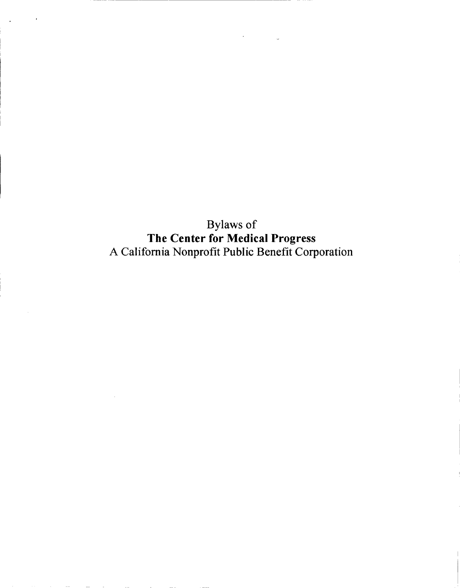Bylaws of **The Center for Medical Progress**  A California Nonprofit Public Benefit Corporation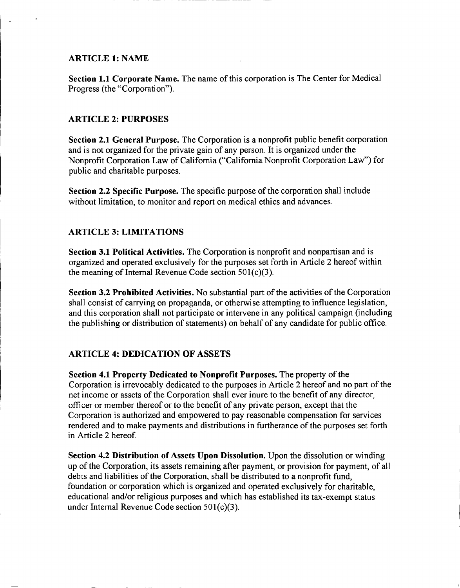### **ARTICLE 1: NAME**

**Section 1.1 Corporate Name.** The name of this corporation is The Center for Medical Progress (the "Corporation").

# **ARTICLE 2: PURPOSES**

**Section 2.1 General Purpose.** The Corporation is a nonprofit public benefit corporation and is not organized for the private gain of any person. It is organized under the Nonprofit Corporation Law of California ("California Nonprofit Corporation Law") for public and charitable purposes.

**Section 2.2 Specific Purpose.** The specific purpose of the corporation shall include without limitation, to monitor and report on medical ethics and advances.

### **ARTICLE 3: LIMITATIONS**

**Section 3.1 Political Activities.** The Corporation is nonprofit and nonpartisan and is organized and operated exclusively for the purposes set forth in Article 2 hereof within the meaning of Internal Revenue Code section  $501(c)(3)$ .

**Section 3.2 Prohibited Activities.** No substantial part of the activities of the Corporation shall consist of carrying on propaganda, or otherwise attempting to influence legislation, and this corporation shall not participate or intervene in any political campaign (including the publishing or distribution of statements) on behalf of any candidate for public office.

# **ARTICLE 4: DEDICATION OF ASSETS**

**Section 4.1 Property Dedicated to Nonprofit Purposes.** The property of the Corporation is irrevocably dedicated to the purposes in Article 2 hereof and no part of the net income or assets of the Corporation shall ever inure to the benefit of any director, officer or member thereof or to the benefit of any private person, except that the Corporation is authorized and empowered to pay reasonable compensation for services rendered and to make payments and distributions in furtherance of the purposes set forth in Article 2 hereof

**Section 4.2 Distribution of Assets Upon Dissolution.** Upon the dissolution or winding up of the Corporation, its assets remaining after payment, or provision for payment, of all debts and liabilities of the Corporation, shall be distributed to a nonprofit fund, foundation or corporation which is organized and operated exclusively for charitable, educational and/or religious purposes and which has established its tax-exempt status under Internal Revenue Code section 501(c)(3).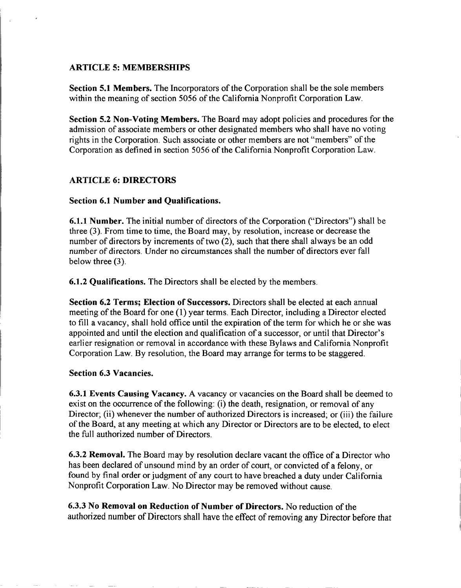### **ARTICLE 5: MEMBERSHIPS**

**Section 5.1 Members.** The Incorporators of the Corporation shall be the sole members within the meaning of section 5056 of the California Nonprofit Corporation Law.

**Section 5.2 Non-Voting Members.** The Board may adopt policies and procedures for the admission of associate members or other designated members who shall have no voting rights in the Corporation. Such associate or other members are not "members" of the Corporation as defined in section 5056 of the California Nonprofit Corporation Law.

### **ARTICLE 6: DIRECTORS**

#### **Section 6.1 Number and Qualifications.**

**6.1.1 Number.** The initial number of directors of the Corporation ("Directors") shall be three (3). From time to time, the Board may, by resolution, increase or decrease the number of directors by increments of two (2), such that there shall always be an odd number of directors. Under no circumstances shall the number of directors ever fall below three (3).

**6.1.2 Qualifications.** The Directors shall be elected by the members.

**Section 6.2 Terms; Election of Successors.** Directors shall be elected at each annual meeting of the Board for one (1) year terms. Each Director, including a Director elected to fill a vacancy, shall hold office until the expiration of the term for which he or she was appointed and until the election and qualification of a successor, or until that Director's earlier resignation or removal in accordance with these Bylaws and California Nonprofit Corporation Law. By resolution, the Board may arrange for terms to be staggered.

#### **Section 6.3 Vacancies.**

**6.3.1 Events Causing Vacancy.** A vacancy or vacancies on the Board shall be deemed to exist on the occurrence of the following: (i) the death, resignation, or removal of any Director; (ii) whenever the number of authorized Directors is increased; or (iii) the failure of the Board, at any meeting at which any Director or Directors are to be elected, to elect the full authorized number of Directors.

**6.3.2 Removal.** The Board may by resolution declare vacant the office of a Director who has been declared of unsound mind by an order of court, or convicted of a felony, or found by final order or judgment of any court to have breached a duty under California Nonprofit Corporation Law. No Director may be removed without cause.

**6.3.3 No Removal on Reduction of Number of Directors.** No reduction of the authorized number of Directors shall have the effect of removing any Director before that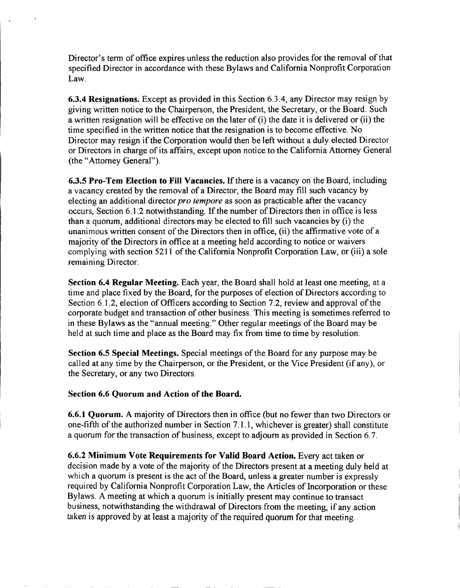Director's term of office expires unless the reduction also provides for the removal of that specified Director in accordance with these Bylaws and California Nonprofit Corporation Law.

6.3.4 **Resignations.** Except as provided in this Section **6.3.4,** any Director may resign by giving written notice to the Chairperson, the President, the Secretary, or the Board. Such a written resignation will be effective on the later of (i) the date it is delivered or (ii) the time specified in the written notice that the resignation is to become effective. No Director may resign if the Corporation would then be left without a duly elected Director or Directors in charge of its affairs, except upon notice to the California Attorney General (the "Attorney General").

6.3.5 **Pro-Tem Election to Fill Vacancies.** If there is a vacancy on the Board, including a vacancy created by the removal of a Director, the Board may fill such vacancy by electing an additional director *pro* tempore as soon as practicable after the vacancy occurs. Section **6.1.2** notwithstanding. If the number of Directors then in office is less than a quorum, additional directors may be elected to fill such vacancies by (i) the unanimous written consent of the Directors then in office, (ii) the affirmative vote of a majority of the Directors in office at a meeting held according to notice or waivers complying with section **5211** of the California Nonprofit Corporation Law, or (iii) a sole remaining Director.

**Section** 6.4 **Regular Meeting.** Each year, the Board shall hold at least one meeting, at a time and place fixed by the Board, for the purposes of election of Directors according to Section **6.1.2,** election of Officers according to Section **7.2,** review and approval of the corporate budget and transaction of other business. This meeting is sometimes referred to in these Bylaws as the "annual meeting." Other regular meetings of the Board may be held at such time and place as the Board may fix from time to time by resolution.

**Section** 6.5 **Special Meetings.** Special meetings of the Board for any purpose may be called at any time by the Chairperson, or the President, or the Vice President (if any), or the Secretary, or any two Directors.

# **Section 6.6 Quorum and Action of the Board.**

6.6.1 **Quorum.** A majority of Directors then in office (but no fewer than two Directors or one-fifth of the authorized number in Section **7.1.1,** whichever is greater) shall constitute a quorum for the transaction of business, except to adjourn as provided in Section **6.7.** 

6.6.2 **Minimum Vote Requirements for Valid Board Action.** Every act taken or decision made by a vote of the majority of the Directors present at a meeting duly held at which a quorum is present is the act of the Board, unless a greater number is expressly required by California Nonprofit Corporation Law, the Articles of Incorporation or these Bylaws. A meeting at which a quorum is initially present may continue to transact business, notwithstanding the withdrawal of Directors from the meeting, if any action taken is approved by at least a majority of the required quorum for that meeting.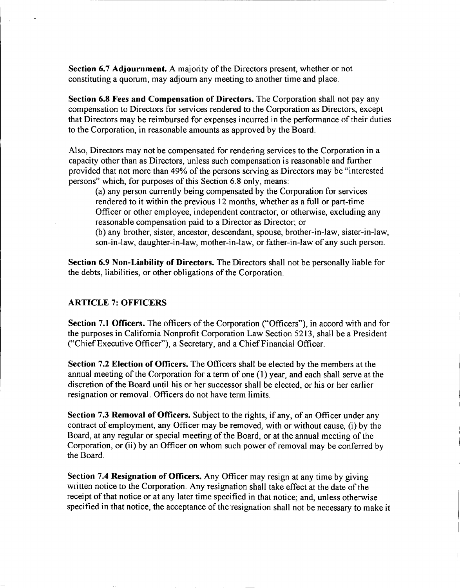**Section 6.7 Adjournment.** A majority of the Directors present, whether or not constituting a quorum, may adjourn any meeting to another time and place.

**Section 6.8 Fees and Compensation of Directors.** The Corporation shall not pay any compensation to Directors for services rendered to the Corporation as Directors, except that Directors may be reimbursed for expenses incurred in the performance of their duties to the Corporation, in reasonable amounts as approved by the Board.

Also, Directors may not be compensated for rendering services to the Corporation in a capacity other than as Directors, unless such compensation is reasonable and further provided that not more than 49% of the persons serving as Directors may be "interested persons" which, for purposes of this Section 6.8 only, means:

(a) any person currently being compensated by the Corporation for services rendered to it within the previous 12 months, whether as a full or part-time Officer or other employee, independent contractor, or otherwise, excluding any reasonable compensation paid to a Director as Director; or

(b) any brother, sister, ancestor, descendant, spouse, brother-in-law, sister-in-law, son-in-law, daughter-in-law, mother-in-law, or father-in-law of any such person.

**Section 6.9 Non-Liability of Directors.** The Directors shall not be personally liable for the debts, liabilities, or other obligations of the Corporation.

### **ARTICLE 7: OFFICERS**

**Section 7.1 Officers.** The officers of the Corporation ("Officers"), in accord with and for the purposes in California Nonprofit Corporation Law Section 5213, shall be a President ("Chief Executive Officer"), a Secretary, and a Chief Financial Officer.

**Section 7.2 Election of Officers.** The Officers shall be elected by the members at the annual meeting of the Corporation for a term of one (1) year, and each shall serve at the discretion of the Board until his or her successor shall be elected, or his or her earlier resignation or removal. Officers do not have term limits.

**Section 7.3 Removal of Officers.** Subject to the rights, if any, of an Officer under any contract of employment, any Officer may be removed, with or without cause, (i) by the Board, at any regular or special meeting of the Board, or at the annual meeting of the Corporation, or (ii) by an Officer on whom such power of removal may be conferred by the Board.

**Section 7.4 Resignation of Officers.** Any Officer may resign at any time by giving written notice to the Corporation. Any resignation shall take effect at the date of the receipt of that notice or at any later time specified in that notice; and, unless otherwise specified in that notice, the acceptance of the resignation shall not be necessary to make it